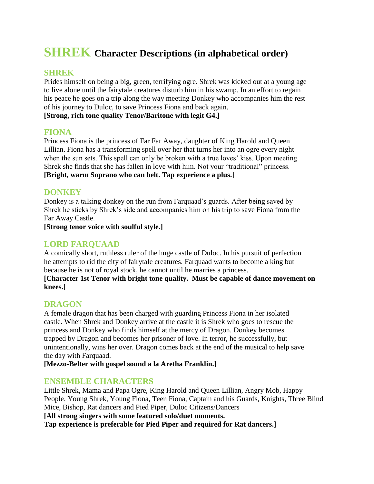# **SHREK Character Descriptions (in alphabetical order)**

#### **SHREK**

Prides himself on being a big, green, terrifying ogre. Shrek was kicked out at a young age to live alone until the fairytale creatures disturb him in his swamp. In an effort to regain his peace he goes on a trip along the way meeting Donkey who accompanies him the rest of his journey to Duloc, to save Princess Fiona and back again.

**[Strong, rich tone quality Tenor/Baritone with legit G4.]**

#### **FIONA**

Princess Fiona is the princess of Far Far Away, daughter of King Harold and Queen Lillian. Fiona has a transforming spell over her that turns her into an ogre every night when the sun sets. This spell can only be broken with a true loves' kiss. Upon meeting Shrek she finds that she has fallen in love with him. Not your "traditional" princess. **[Bright, warm Soprano who can belt. Tap experience a plus.**]

## **DONKEY**

Donkey is a talking donkey on the run from Farquaad's guards. After being saved by Shrek he sticks by Shrek's side and accompanies him on his trip to save Fiona from the Far Away Castle.

**[Strong tenor voice with soulful style.]**

## **LORD FARQUAAD**

A comically short, ruthless ruler of the huge castle of Duloc. In his pursuit of perfection he attempts to rid the city of fairytale creatures. Farquaad wants to become a king but because he is not of royal stock, he cannot until he marries a princess.

**[Character 1st Tenor with bright tone quality. Must be capable of dance movement on knees.]**

### **DRAGON**

A female dragon that has been charged with guarding Princess Fiona in her isolated castle. When Shrek and Donkey arrive at the castle it is Shrek who goes to rescue the princess and Donkey who finds himself at the mercy of Dragon. Donkey becomes trapped by Dragon and becomes her prisoner of love. In terror, he successfully, but unintentionally, wins her over. Dragon comes back at the end of the musical to help save the day with Farquaad.

**[Mezzo-Belter with gospel sound a la Aretha Franklin.]**

### **ENSEMBLE CHARACTERS**

Little Shrek, Mama and Papa Ogre, King Harold and Queen Lillian, Angry Mob, Happy People, Young Shrek, Young Fiona, Teen Fiona, Captain and his Guards, Knights, Three Blind Mice, Bishop, Rat dancers and Pied Piper, Duloc Citizens/Dancers **[All strong singers with some featured solo/duet moments. Tap experience is preferable for Pied Piper and required for Rat dancers.]**